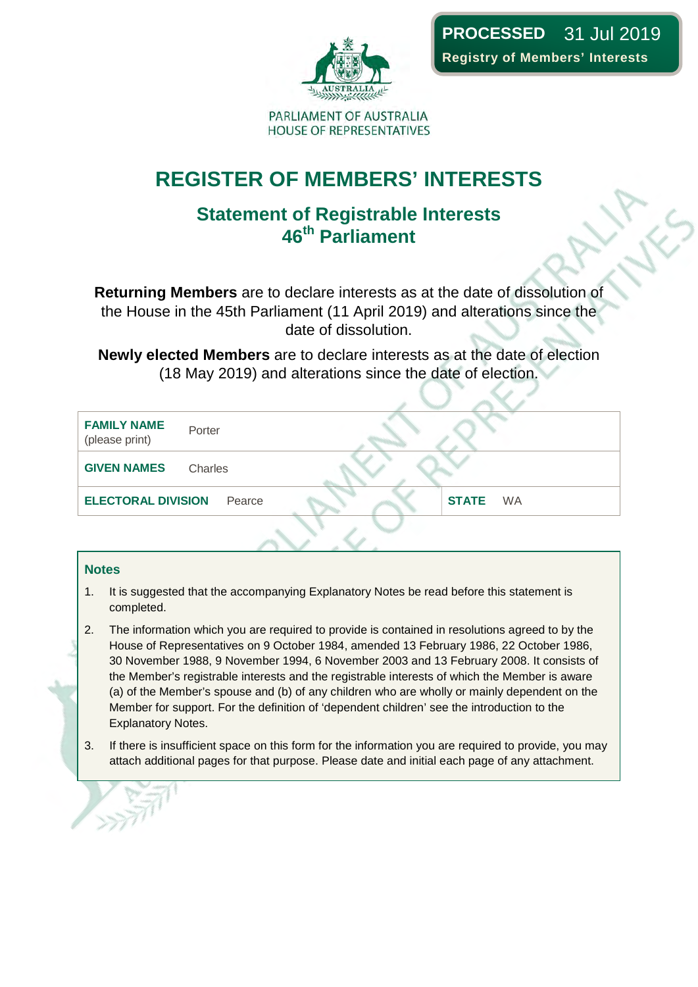

## **REGISTER OF MEMBERS' INTERESTS**

### **Statement of Registrable Interests 46th Parliament**

**Returning Members** are to declare interests as at the date of dissolution of the House in the 45th Parliament (11 April 2019) and alterations since the date of dissolution.

**Newly elected Members** are to declare interests as at the date of election (18 May 2019) and alterations since the date of election.

| <b>FAMILY NAME</b><br>(please print) | Porter  |        |  |              |           |
|--------------------------------------|---------|--------|--|--------------|-----------|
| <b>GIVEN NAMES</b>                   | Charles |        |  |              |           |
| <b>ELECTORAL DIVISION</b>            |         | Pearce |  | <b>STATE</b> | <b>WA</b> |
|                                      |         |        |  |              |           |

#### **Notes**

- 1. It is suggested that the accompanying Explanatory Notes be read before this statement is completed.
- 2. The information which you are required to provide is contained in resolutions agreed to by the House of Representatives on 9 October 1984, amended 13 February 1986, 22 October 1986, 30 November 1988, 9 November 1994, 6 November 2003 and 13 February 2008. It consists of the Member's registrable interests and the registrable interests of which the Member is aware (a) of the Member's spouse and (b) of any children who are wholly or mainly dependent on the Member for support. For the definition of 'dependent children' see the introduction to the Explanatory Notes.
- 3. If there is insufficient space on this form for the information you are required to provide, you may attach additional pages for that purpose. Please date and initial each page of any attachment.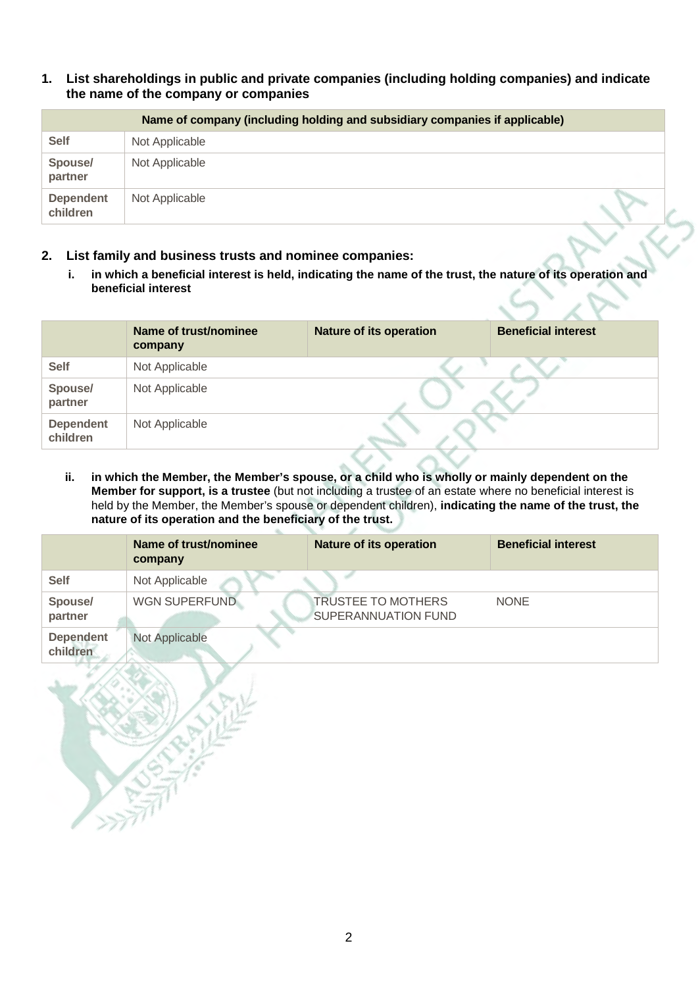**1. List shareholdings in public and private companies (including holding companies) and indicate the name of the company or companies**

|                              | Name of company (including holding and subsidiary companies if applicable) |  |
|------------------------------|----------------------------------------------------------------------------|--|
| <b>Self</b>                  | Not Applicable                                                             |  |
| Spouse/<br>partner           | Not Applicable                                                             |  |
| <b>Dependent</b><br>children | Not Applicable                                                             |  |

- **2. List family and business trusts and nominee companies:** 
	- **i. in which a beneficial interest is held, indicating the name of the trust, the nature of its operation and beneficial interest**

|                              | Name of trust/nominee<br>company | <b>Nature of its operation</b> | <b>Beneficial interest</b> |
|------------------------------|----------------------------------|--------------------------------|----------------------------|
| <b>Self</b>                  | Not Applicable                   |                                |                            |
| Spouse/<br>partner           | Not Applicable                   |                                |                            |
| <b>Dependent</b><br>children | Not Applicable                   |                                |                            |

**ii. in which the Member, the Member's spouse, or a child who is wholly or mainly dependent on the Member for support, is a trustee** (but not including a trustee of an estate where no beneficial interest is held by the Member, the Member's spouse or dependent children), **indicating the name of the trust, the nature of its operation and the beneficiary of the trust.** 

|                              | Name of trust/nominee<br>company | <b>Nature of its operation</b>                          | <b>Beneficial interest</b> |
|------------------------------|----------------------------------|---------------------------------------------------------|----------------------------|
| <b>Self</b>                  | Not Applicable                   |                                                         |                            |
| Spouse/<br>partner           | <b>WGN SUPERFUND</b>             | <b>TRUSTEE TO MOTHERS</b><br><b>SUPERANNUATION FUND</b> | <b>NONE</b>                |
| <b>Dependent</b><br>children | Not Applicable                   |                                                         |                            |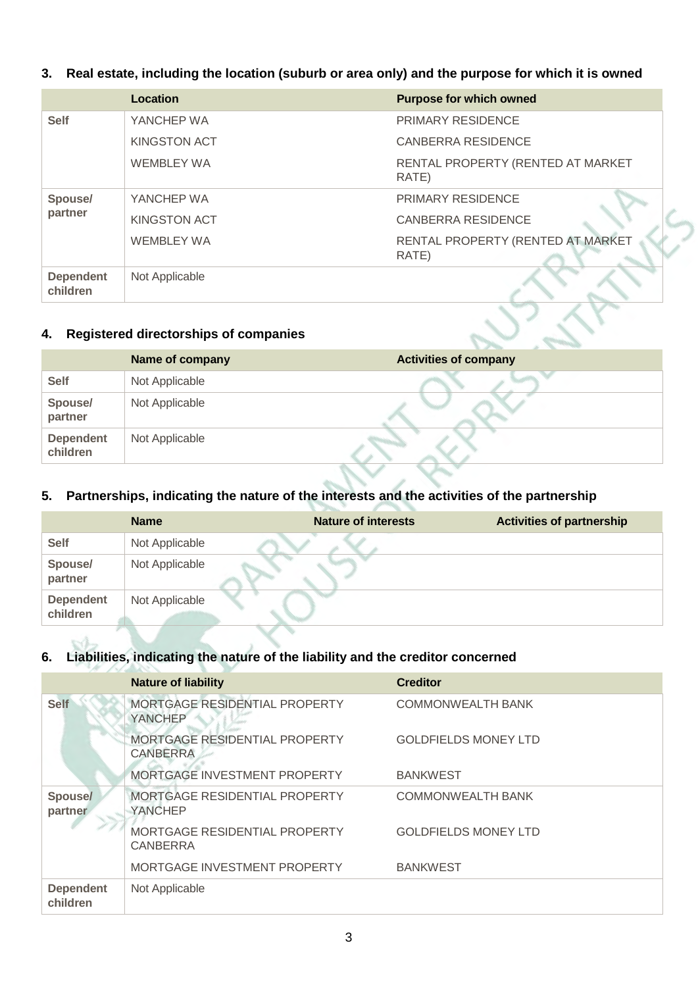#### **3. Real estate, including the location (suburb or area only) and the purpose for which it is owned**

|                              | Location            | <b>Purpose for which owned</b>             |
|------------------------------|---------------------|--------------------------------------------|
| <b>Self</b>                  | YANCHEP WA          | <b>PRIMARY RESIDENCE</b>                   |
|                              | KINGSTON ACT        | <b>CANBERRA RESIDENCE</b>                  |
|                              | <b>WEMBLEY WA</b>   | RENTAL PROPERTY (RENTED AT MARKET<br>RATE) |
| Spouse/                      | YANCHEP WA          | <b>PRIMARY RESIDENCE</b>                   |
| partner                      | <b>KINGSTON ACT</b> | <b>CANBERRA RESIDENCE</b>                  |
|                              | <b>WEMBLEY WA</b>   | RENTAL PROPERTY (RENTED AT MARKET<br>RATE) |
| <b>Dependent</b><br>children | Not Applicable      |                                            |

#### **4. Registered directorships of companies**

|                              | Name of company | <b>Activities of company</b> |
|------------------------------|-----------------|------------------------------|
| <b>Self</b>                  | Not Applicable  |                              |
| Spouse/<br>partner           | Not Applicable  |                              |
| <b>Dependent</b><br>children | Not Applicable  |                              |

#### **5. Partnerships, indicating the nature of the interests and the activities of the partnership**

|                              | <b>Name</b>    | <b>Nature of interests</b> | <b>Activities of partnership</b> |
|------------------------------|----------------|----------------------------|----------------------------------|
| <b>Self</b>                  | Not Applicable |                            |                                  |
| Spouse/<br>partner           | Not Applicable |                            |                                  |
| <b>Dependent</b><br>children | Not Applicable |                            |                                  |

#### **6. Liabilities, indicating the nature of the liability and the creditor concerned**

|                              | <b>Nature of liability</b>                       | <b>Creditor</b>             |
|------------------------------|--------------------------------------------------|-----------------------------|
| <b>Self</b>                  | MORTGAGE RESIDENTIAL PROPERTY<br>YANCHEP         | <b>COMMONWEALTH BANK</b>    |
|                              | MORTGAGE RESIDENTIAL PROPERTY<br><b>CANBERRA</b> | <b>GOLDFIELDS MONEY LTD</b> |
|                              | MORTGAGE INVESTMENT PROPERTY                     | <b>BANKWEST</b>             |
| Spouse/<br>partner           | MORTGAGE RESIDENTIAL PROPERTY<br><b>YANCHEP</b>  | <b>COMMONWEALTH BANK</b>    |
|                              | MORTGAGE RESIDENTIAL PROPERTY<br><b>CANBERRA</b> | <b>GOLDFIELDS MONEY LTD</b> |
|                              | MORTGAGE INVESTMENT PROPERTY                     | <b>BANKWEST</b>             |
| <b>Dependent</b><br>children | Not Applicable                                   |                             |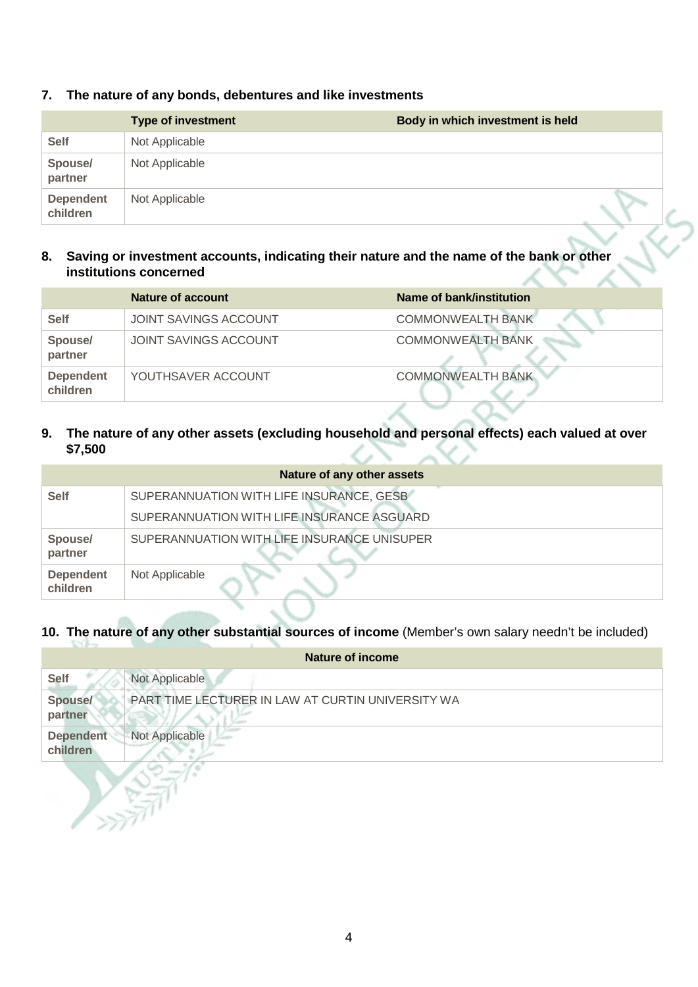|                              | <b>Type of investment</b> | Body in which investment is held |  |
|------------------------------|---------------------------|----------------------------------|--|
| <b>Self</b>                  | Not Applicable            |                                  |  |
| Spouse/<br>partner           | Not Applicable            |                                  |  |
| <b>Dependent</b><br>children | Not Applicable            |                                  |  |

#### **7. The nature of any bonds, debentures and like investments**

#### **8. Saving or investment accounts, indicating their nature and the name of the bank or other institutions concerned**

|                              | Nature of account            | Name of bank/institution |
|------------------------------|------------------------------|--------------------------|
| <b>Self</b>                  | <b>JOINT SAVINGS ACCOUNT</b> | <b>COMMONWEALTH BANK</b> |
| Spouse/<br>partner           | JOINT SAVINGS ACCOUNT        | <b>COMMONWEALTH BANK</b> |
| <b>Dependent</b><br>children | YOUTHSAVER ACCOUNT           | <b>COMMONWEALTH BANK</b> |

#### **9. The nature of any other assets (excluding household and personal effects) each valued at over \$7,500**

|                              | Nature of any other assets                  |
|------------------------------|---------------------------------------------|
| <b>Self</b>                  | SUPERANNUATION WITH LIFE INSURANCE, GESB    |
|                              | SUPERANNUATION WITH LIFE INSURANCE ASGUARD  |
| Spouse/<br>partner           | SUPERANNUATION WITH LIFE INSURANCE UNISUPER |
| <b>Dependent</b><br>children | Not Applicable                              |

#### **10. The nature of any other substantial sources of income** (Member's own salary needn't be included)

|                              | Nature of income                                  |
|------------------------------|---------------------------------------------------|
| <b>Self</b>                  | Not Applicable                                    |
| <b>Spouse/</b><br>partner    | PART TIME LECTURER IN LAW AT CURTIN UNIVERSITY WA |
| <b>Dependent</b><br>children | <b>Not Applicable</b>                             |

XE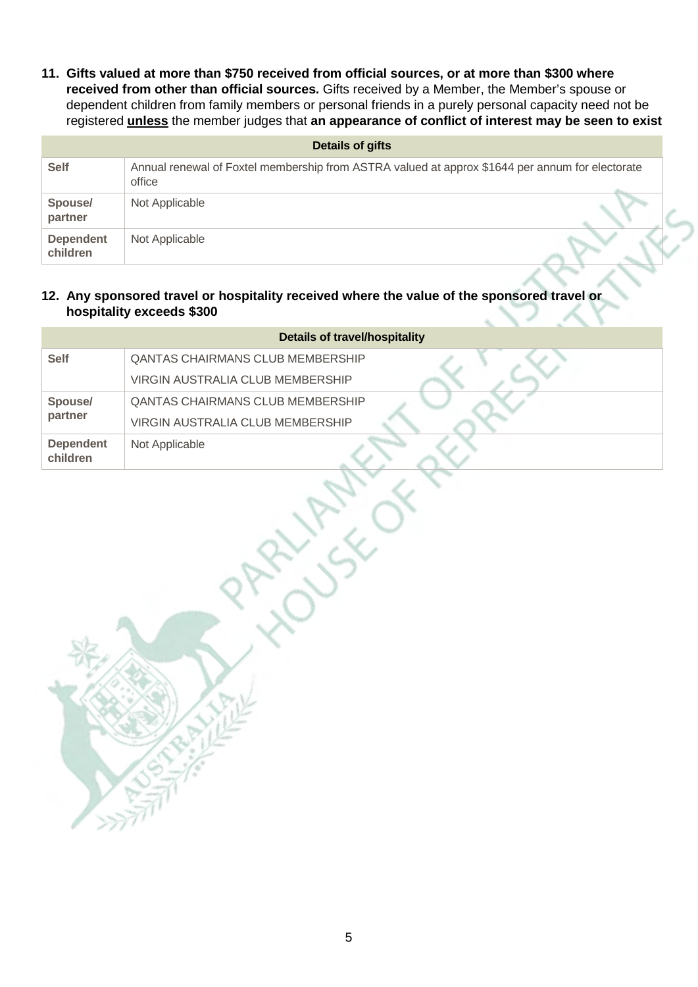**11. Gifts valued at more than \$750 received from official sources, or at more than \$300 where received from other than official sources.** Gifts received by a Member, the Member's spouse or dependent children from family members or personal friends in a purely personal capacity need not be registered **unless** the member judges that **an appearance of conflict of interest may be seen to exist**

| Details of gifts             |                                                                                                           |  |
|------------------------------|-----------------------------------------------------------------------------------------------------------|--|
| <b>Self</b>                  | Annual renewal of Foxtel membership from ASTRA valued at approx \$1644 per annum for electorate<br>office |  |
| Spouse/<br>partner           | Not Applicable                                                                                            |  |
| <b>Dependent</b><br>children | Not Applicable                                                                                            |  |

#### **12. Any sponsored travel or hospitality received where the value of the sponsored travel or hospitality exceeds \$300**

| <b>Details of travel/hospitality</b> |                                         |  |
|--------------------------------------|-----------------------------------------|--|
| <b>Self</b>                          | <b>QANTAS CHAIRMANS CLUB MEMBERSHIP</b> |  |
|                                      | VIRGIN AUSTRALIA CLUB MEMBERSHIP        |  |
| Spouse/                              | <b>QANTAS CHAIRMANS CLUB MEMBERSHIP</b> |  |
| partner                              | VIRGIN AUSTRALIA CLUB MEMBERSHIP        |  |
| <b>Dependent</b><br>children         | Not Applicable                          |  |
|                                      |                                         |  |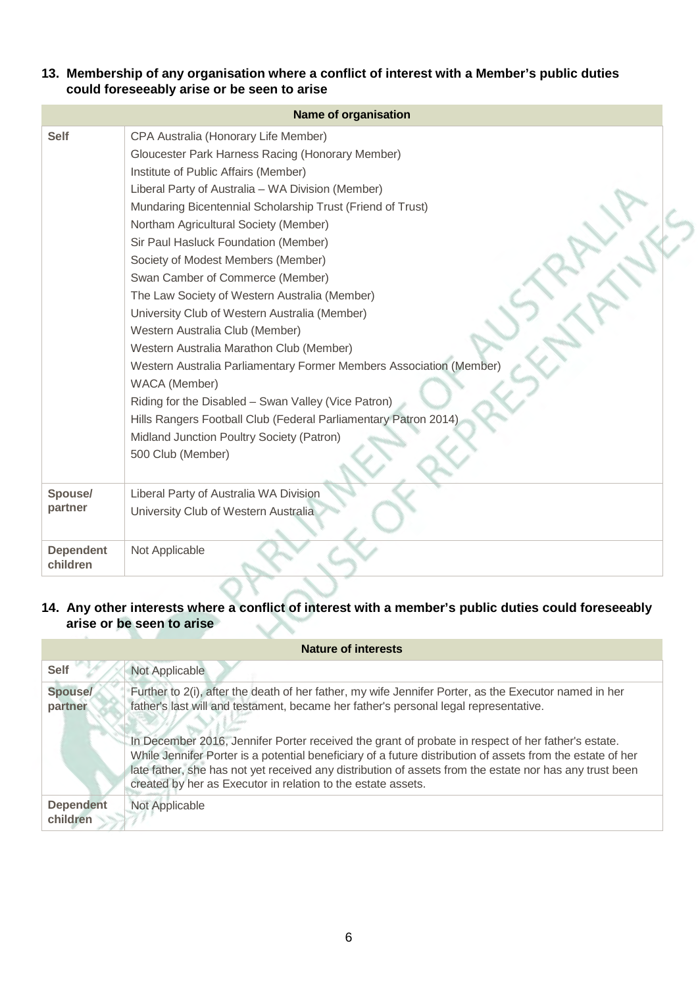**13. Membership of any organisation where a conflict of interest with a Member's public duties could foreseeably arise or be seen to arise**

|                              | <b>Name of organisation</b>                                                                                                                                                                                                                                                                                                                                                                                                                                                                                                                                                                                                                                                                                                                                                                                                                                                         |
|------------------------------|-------------------------------------------------------------------------------------------------------------------------------------------------------------------------------------------------------------------------------------------------------------------------------------------------------------------------------------------------------------------------------------------------------------------------------------------------------------------------------------------------------------------------------------------------------------------------------------------------------------------------------------------------------------------------------------------------------------------------------------------------------------------------------------------------------------------------------------------------------------------------------------|
| <b>Self</b>                  | CPA Australia (Honorary Life Member)<br>Gloucester Park Harness Racing (Honorary Member)<br>Institute of Public Affairs (Member)<br>Liberal Party of Australia - WA Division (Member)<br>Mundaring Bicentennial Scholarship Trust (Friend of Trust)<br>Northam Agricultural Society (Member)<br>Sir Paul Hasluck Foundation (Member)<br>Society of Modest Members (Member)<br>Swan Camber of Commerce (Member)<br>The Law Society of Western Australia (Member)<br>University Club of Western Australia (Member)<br>Western Australia Club (Member)<br>Western Australia Marathon Club (Member)<br>Western Australia Parliamentary Former Members Association (Member)<br>WACA (Member)<br>Riding for the Disabled - Swan Valley (Vice Patron)<br>Hills Rangers Football Club (Federal Parliamentary Patron 2014)<br>Midland Junction Poultry Society (Patron)<br>500 Club (Member) |
| Spouse/<br>partner           | Liberal Party of Australia WA Division<br>University Club of Western Australia                                                                                                                                                                                                                                                                                                                                                                                                                                                                                                                                                                                                                                                                                                                                                                                                      |
| <b>Dependent</b><br>children | Not Applicable                                                                                                                                                                                                                                                                                                                                                                                                                                                                                                                                                                                                                                                                                                                                                                                                                                                                      |

#### **14. Any other interests where a conflict of interest with a member's public duties could foreseeably arise or be seen to arise**

| Nature of interests          |                                                                                                                                                                                                                                                                                                                                                                                             |  |
|------------------------------|---------------------------------------------------------------------------------------------------------------------------------------------------------------------------------------------------------------------------------------------------------------------------------------------------------------------------------------------------------------------------------------------|--|
| <b>Self</b>                  | Not Applicable                                                                                                                                                                                                                                                                                                                                                                              |  |
| <b>Spouse/</b><br>partner    | Further to 2(i), after the death of her father, my wife Jennifer Porter, as the Executor named in her<br>father's last will and testament, became her father's personal legal representative.                                                                                                                                                                                               |  |
|                              | In December 2016, Jennifer Porter received the grant of probate in respect of her father's estate.<br>While Jennifer Porter is a potential beneficiary of a future distribution of assets from the estate of her<br>late father, she has not yet received any distribution of assets from the estate nor has any trust been<br>created by her as Executor in relation to the estate assets. |  |
| <b>Dependent</b><br>children | Not Applicable                                                                                                                                                                                                                                                                                                                                                                              |  |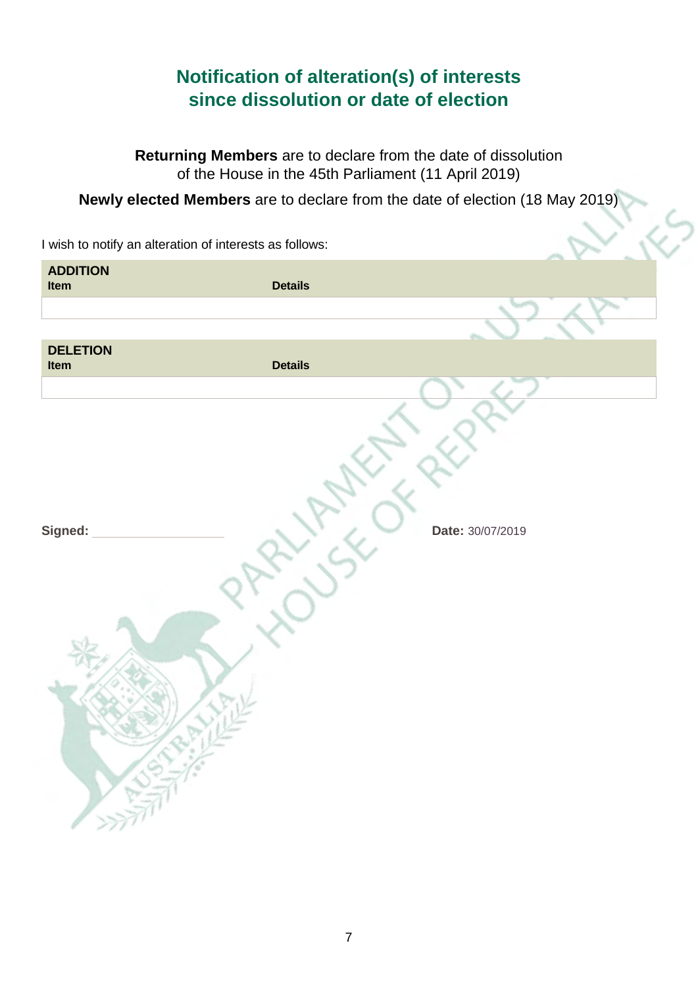### **Notification of alteration(s) of interests since dissolution or date of election**

**Returning Members** are to declare from the date of dissolution of the House in the 45th Parliament (11 April 2019)

**Newly elected Members** are to declare from the date of election (18 May 2019)

|                         | I wish to notify an alteration of interests as follows: |                  |
|-------------------------|---------------------------------------------------------|------------------|
| <b>ADDITION</b><br>Item | <b>Details</b>                                          |                  |
|                         |                                                         |                  |
| <b>DELETION</b><br>Item | <b>Details</b>                                          |                  |
|                         |                                                         |                  |
| Signed:                 |                                                         | Date: 30/07/2019 |
|                         |                                                         |                  |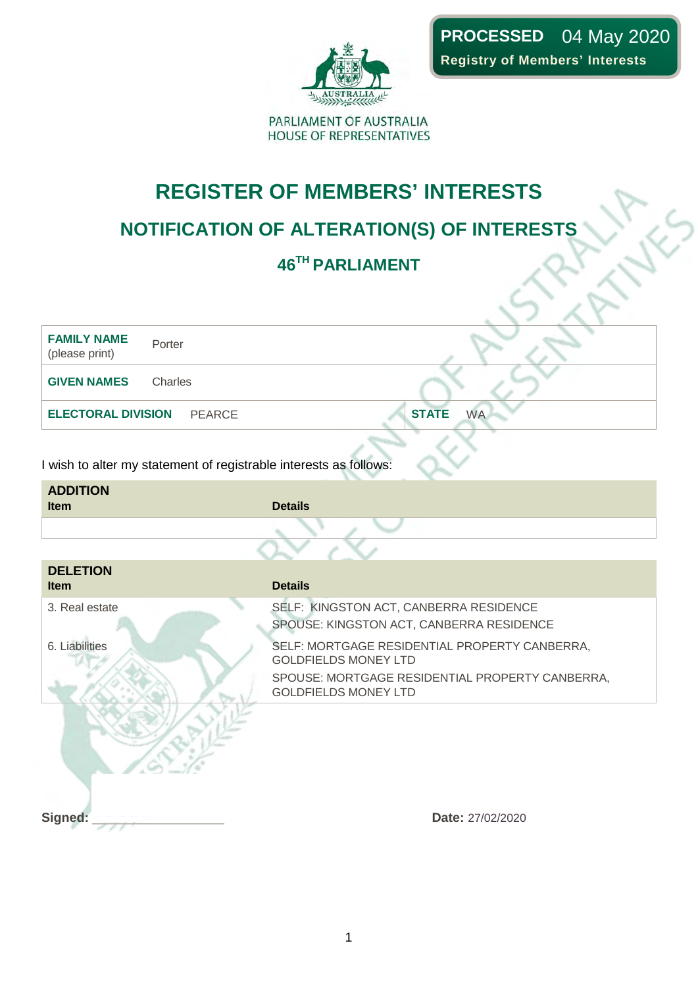

## **REGISTER OF MEMBERS' INTERESTS**

### **NOTIFICATION OF ALTERATION(S) OF INTERESTS**

### **46TH PARLIAMENT**

| <b>FAMILY NAME</b><br>(please print)                              | Porter        |                                                                                    |
|-------------------------------------------------------------------|---------------|------------------------------------------------------------------------------------|
| <b>GIVEN NAMES</b>                                                | Charles       |                                                                                    |
| <b>ELECTORAL DIVISION</b>                                         | <b>PEARCE</b> | <b>STATE</b><br><b>WA</b>                                                          |
| I wish to alter my statement of registrable interests as follows: |               |                                                                                    |
| <b>ADDITION</b><br><b>Item</b>                                    |               | <b>Details</b>                                                                     |
|                                                                   |               |                                                                                    |
| <b>DELETION</b><br><b>Item</b>                                    |               | <b>Details</b>                                                                     |
| 3. Real estate                                                    |               | SELF: KINGSTON ACT, CANBERRA RESIDENCE<br>SPOUSE: KINGSTON ACT, CANBERRA RESIDENCE |
| 6. Liabilities                                                    |               | SELF: MORTGAGE RESIDENTIAL PROPERTY CANBERRA,<br><b>GOLDFIELDS MONEY LTD</b>       |

GOLDFIELDS MONEY LTD

**Signed:** Date: 27/02/2020

SPOUSE: MORTGAGE RESIDENTIAL PROPERTY CANBERRA,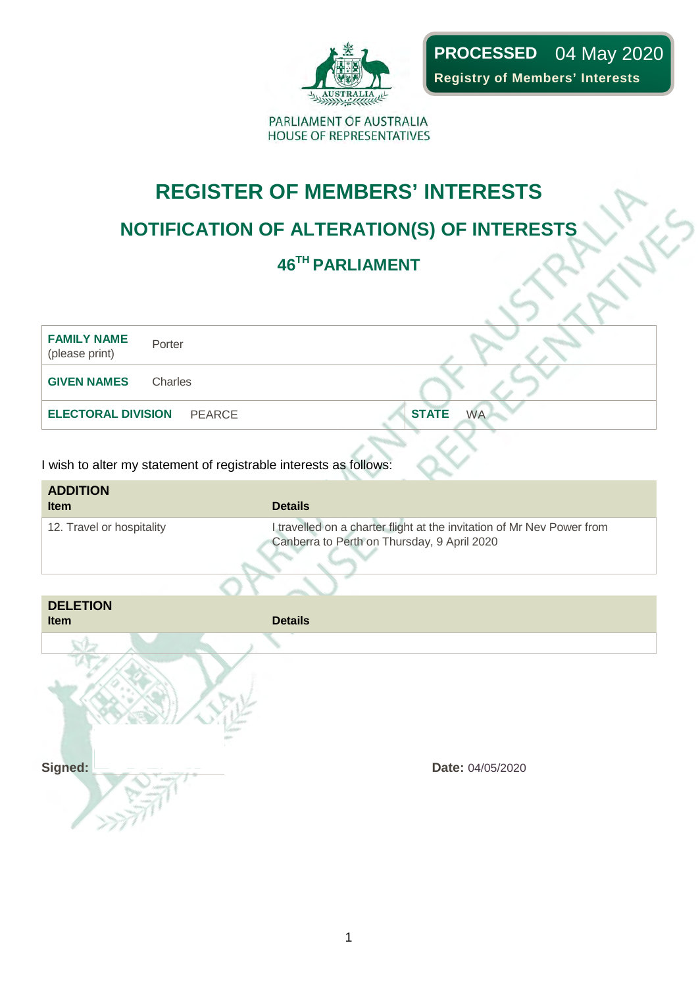

**PROCESSED**  04 May 2020**Registry of Members' Interests**

PARLIAMENT OF AUSTRALIA HOUSE OF REPRESENTATIVES

## **REGISTER OF MEMBERS' INTERESTS**

## **NOTIFICATION OF ALTERATION(S) OF INTERESTS**

## **46TH PARLIAMENT**

| <b>FAMILY NAME</b><br>Porter<br>(please print) |                           |
|------------------------------------------------|---------------------------|
| <b>GIVEN NAMES</b><br>Charles                  |                           |
| <b>ELECTORAL DIVISION PEARCE</b>               | <b>STATE</b><br><b>WA</b> |
|                                                |                           |

| <b>ADDITION</b><br><b>Item</b> | <b>Details</b>                                                                                                        |
|--------------------------------|-----------------------------------------------------------------------------------------------------------------------|
| 12. Travel or hospitality      | I travelled on a charter flight at the invitation of Mr Nev Power from<br>Canberra to Perth on Thursday, 9 April 2020 |

| <b>DELETION</b><br>Item | <b>Details</b>   |
|-------------------------|------------------|
|                         |                  |
|                         |                  |
| Signed:                 | Date: 04/05/2020 |
|                         |                  |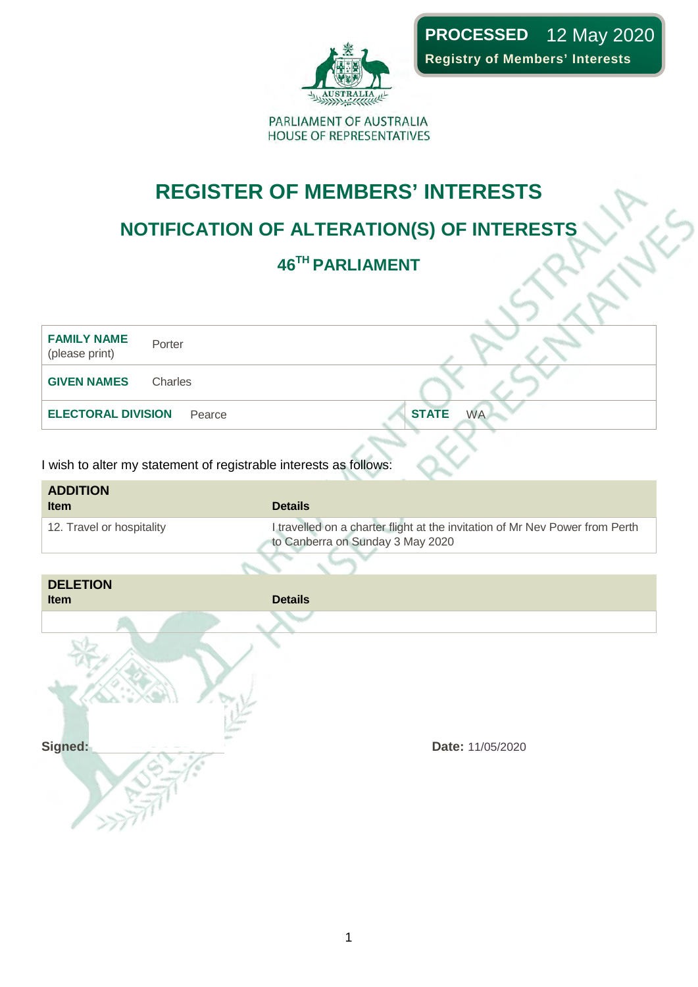

**PROCESSED**  12 May 2020**Registry of Members' Interests**

PARLIAMENT OF AUSTRALIA HOUSE OF REPRESENTATIVES

## **REGISTER OF MEMBERS' INTERESTS**

## **NOTIFICATION OF ALTERATION(S) OF INTERESTS**

### **46TH PARLIAMENT**



| <b>ADDITION</b><br><b>Item</b> | <b>Details</b>                                                                                                   |
|--------------------------------|------------------------------------------------------------------------------------------------------------------|
| 12. Travel or hospitality      | I travelled on a charter flight at the invitation of Mr Nev Power from Perth<br>to Canberra on Sunday 3 May 2020 |

| <b>DELETION</b><br>Item | <b>Details</b>   |
|-------------------------|------------------|
|                         |                  |
|                         |                  |
|                         |                  |
| Signed:                 | Date: 11/05/2020 |
|                         |                  |
|                         |                  |
|                         |                  |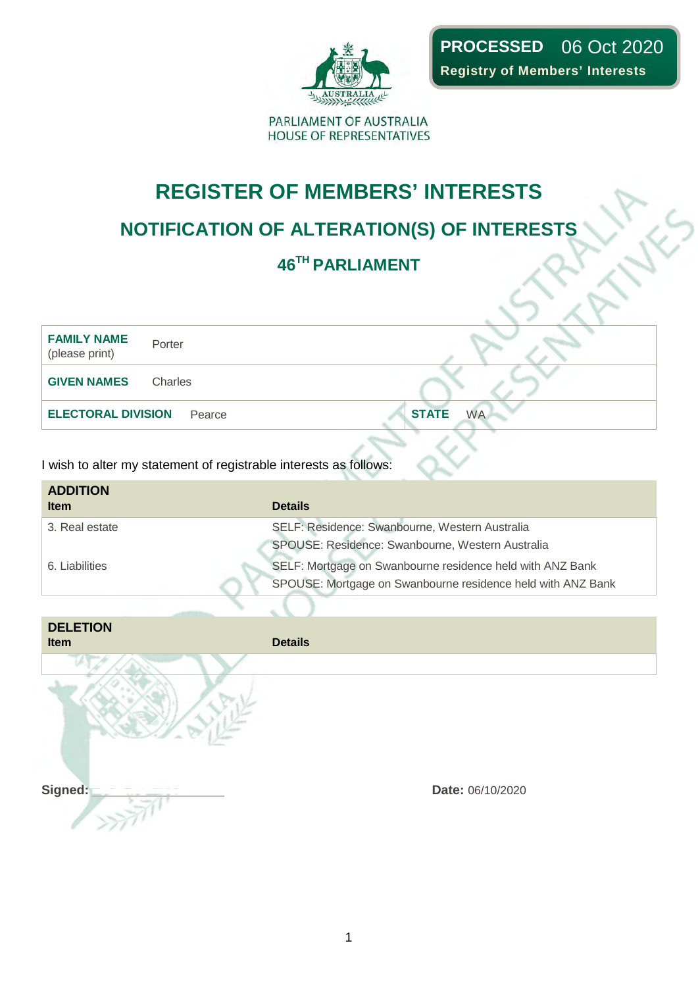

## **REGISTER OF MEMBERS' INTERESTS**

## **NOTIFICATION OF ALTERATION(S) OF INTERESTS**

## **46TH PARLIAMENT**

| <b>FAMILY NAME</b><br>(please print) | Porter  |                           |
|--------------------------------------|---------|---------------------------|
| <b>GIVEN NAMES</b>                   | Charles |                           |
| <b>ELECTORAL DIVISION</b> Pearce     |         | <b>STATE</b><br><b>WA</b> |
|                                      |         |                           |

| <b>ADDITION</b><br><b>Item</b> | <b>Details</b>                                                                                                           |
|--------------------------------|--------------------------------------------------------------------------------------------------------------------------|
| 3. Real estate                 | SELF: Residence: Swanbourne, Western Australia<br>SPOUSE: Residence: Swanbourne, Western Australia                       |
| 6. Liabilities                 | SELF: Mortgage on Swanbourne residence held with ANZ Bank<br>SPOUSE: Mortgage on Swanbourne residence held with ANZ Bank |

| <b>DELETION</b><br>Item | <b>Details</b>   |
|-------------------------|------------------|
|                         |                  |
|                         |                  |
|                         |                  |
|                         |                  |
| Signed:                 | Date: 06/10/2020 |
|                         |                  |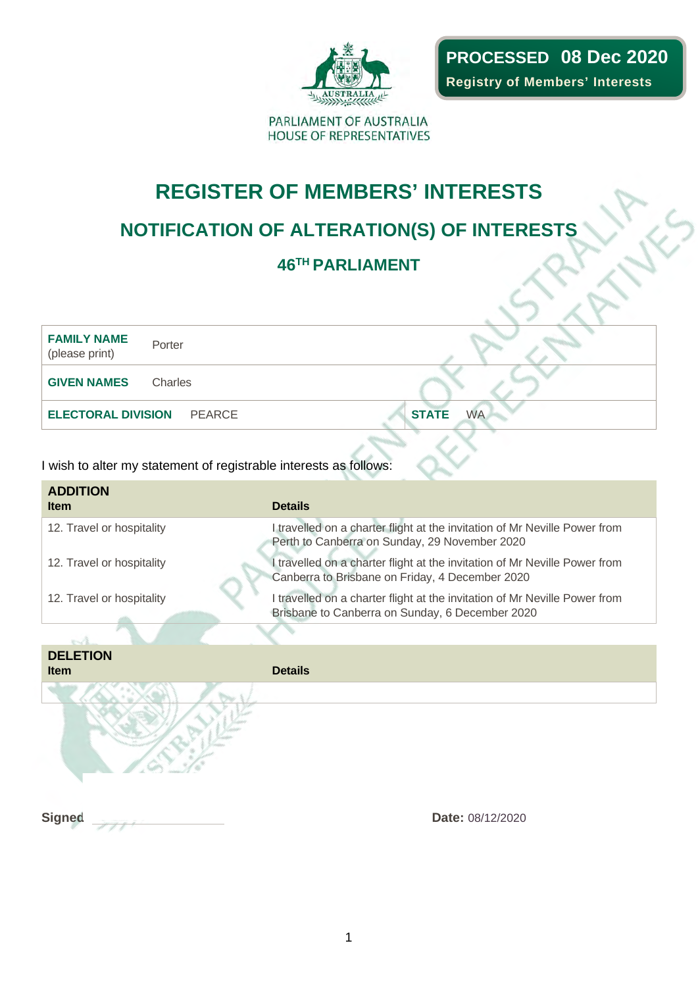

**PROCESSED 08 Dec 2020Registry of Members' Interests**

PARLIAMENT OF AUSTRALIA HOUSE OF REPRESENTATIVES

## **REGISTER OF MEMBERS' INTERESTS**

### **NOTIFICATION OF ALTERATION(S) OF INTERESTS**

### **46TH PARLIAMENT**

**FAMILY NAME** (please print) Porter **GIVEN NAMES** Charles **ELECTORAL DIVISION** PEARCE **STATE** WA

| <b>ADDITION</b><br><b>Item</b> | <b>Details</b>                                                                                                                |  |
|--------------------------------|-------------------------------------------------------------------------------------------------------------------------------|--|
| 12. Travel or hospitality      | I travelled on a charter flight at the invitation of Mr Neville Power from<br>Perth to Canberra on Sunday, 29 November 2020   |  |
| 12. Travel or hospitality      | I travelled on a charter flight at the invitation of Mr Neville Power from<br>Canberra to Brisbane on Friday, 4 December 2020 |  |
| 12. Travel or hospitality      | I travelled on a charter flight at the invitation of Mr Neville Power from<br>Brisbane to Canberra on Sunday, 6 December 2020 |  |
|                                |                                                                                                                               |  |
| <b>DELETION</b>                |                                                                                                                               |  |
| <b>Item</b>                    | <b>Details</b>                                                                                                                |  |
|                                |                                                                                                                               |  |
| <b>Signed</b>                  | <b>Date: 08/12/2020</b>                                                                                                       |  |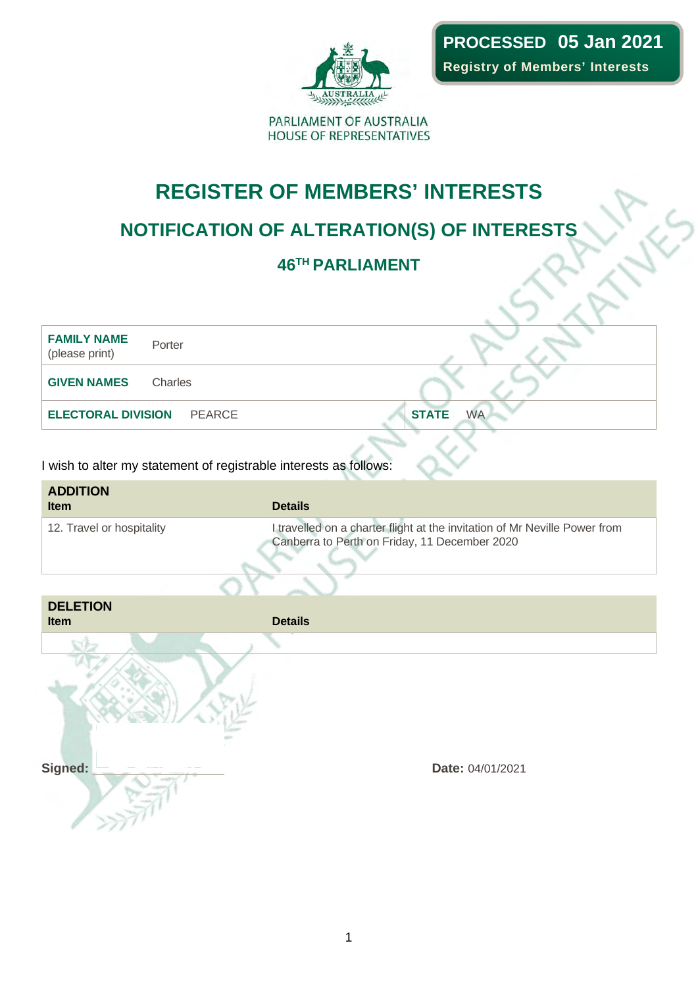

## **REGISTER OF MEMBERS' INTERESTS**

## **NOTIFICATION OF ALTERATION(S) OF INTERESTS**

### **46TH PARLIAMENT**

**FAMILY NAME** (please print) Porter **GIVEN NAMES** Charles **ELECTORAL DIVISION** PEARCE **STATE** WA

| <b>ADDITION</b><br><b>Item</b> | <b>Details</b>                                                                                                              |
|--------------------------------|-----------------------------------------------------------------------------------------------------------------------------|
| 12. Travel or hospitality      | I travelled on a charter flight at the invitation of Mr Neville Power from<br>Canberra to Perth on Friday, 11 December 2020 |

| <b>DELETION</b><br>Item | <b>Details</b>   |  |
|-------------------------|------------------|--|
|                         |                  |  |
| Signed:                 | Date: 04/01/2021 |  |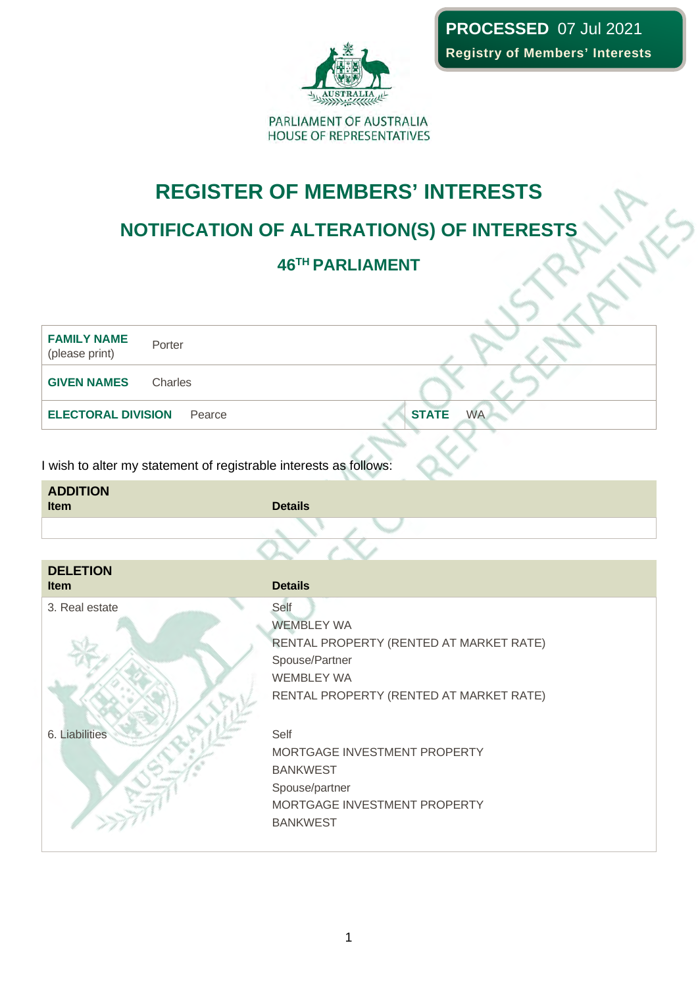

## **REGISTER OF MEMBERS' INTERESTS**

## **NOTIFICATION OF ALTERATION(S) OF INTERESTS**

### **46TH PARLIAMENT**

**FAMILY NAME** (please print) Porter **GIVEN NAMES** Charles **ELECTORAL DIVISION** Pearce **STATE** WA

| <b>ADDITION</b> |                |  |
|-----------------|----------------|--|
| <b>Item</b>     | <b>Details</b> |  |
|                 |                |  |
|                 |                |  |

| <b>DELETION</b><br>Item | <b>Details</b>                          |
|-------------------------|-----------------------------------------|
| 3. Real estate          | Self                                    |
|                         | <b>WEMBLEY WA</b>                       |
|                         | RENTAL PROPERTY (RENTED AT MARKET RATE) |
|                         | Spouse/Partner                          |
|                         | <b>WEMBLEY WA</b>                       |
|                         | RENTAL PROPERTY (RENTED AT MARKET RATE) |
| 6. Liabilities          | Self                                    |
|                         | MORTGAGE INVESTMENT PROPERTY            |
|                         | <b>BANKWEST</b>                         |
|                         | Spouse/partner                          |
|                         | MORTGAGE INVESTMENT PROPERTY            |
|                         | <b>BANKWEST</b>                         |
|                         |                                         |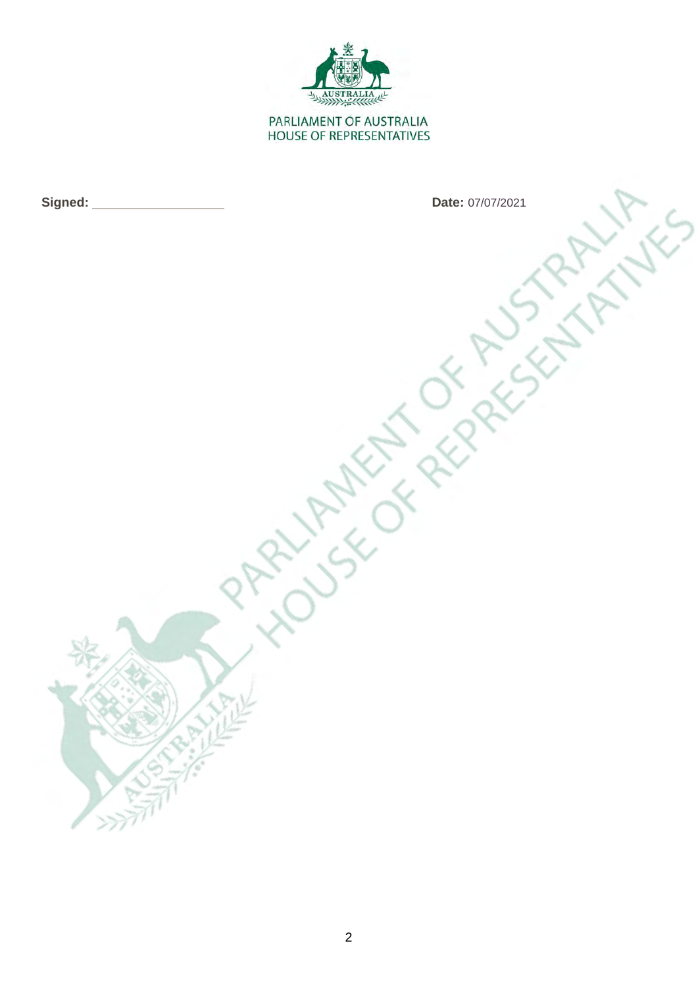

**Signed:** Date: 07/07/2021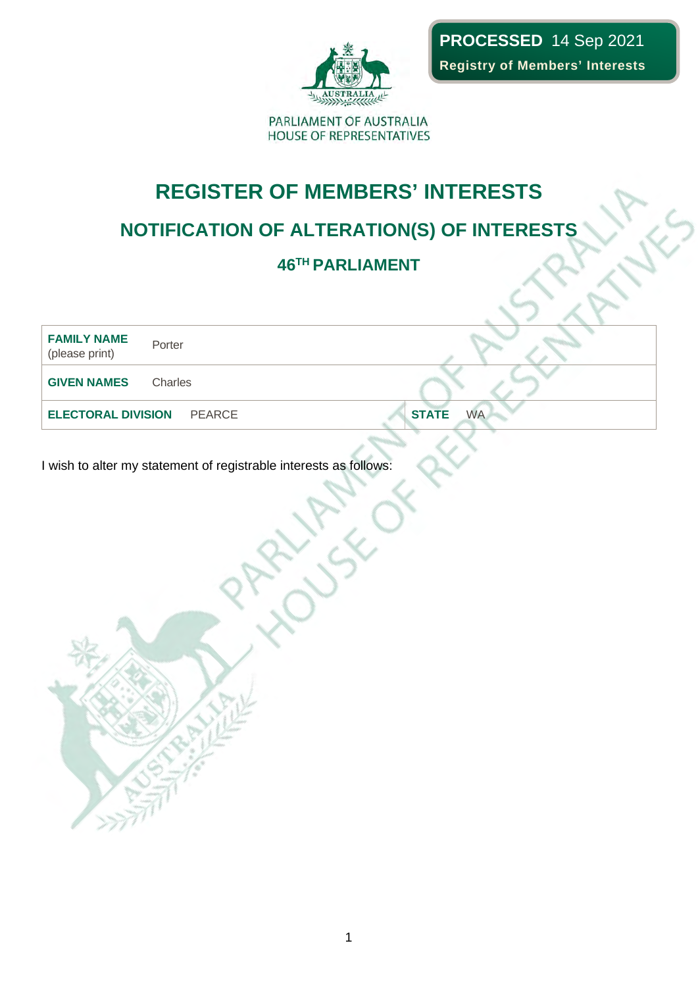

## **REGISTER OF MEMBERS' INTERESTS**

## **NOTIFICATION OF ALTERATION(S) OF INTERESTS**

### **46TH PARLIAMENT**

| <b>FAMILY NAME</b><br>Porter<br>(please print) |                           |
|------------------------------------------------|---------------------------|
| <b>GIVEN NAMES</b><br>Charles                  |                           |
| <b>ELECTORAL DIVISION PEARCE</b>               | <b>WA</b><br><b>STATE</b> |
|                                                |                           |

**LITH**